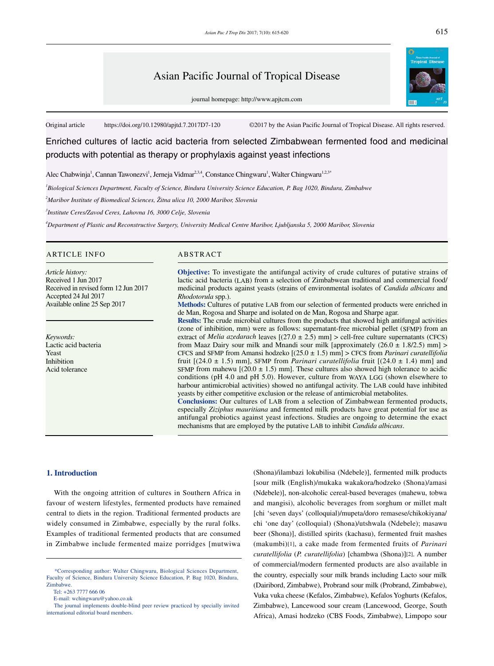# Asian Pacific Journal of Tropical Disease

journal homepage: http://www.apjtcm.com

Original article https://doi.org/10.12980/apjtd.7.2017D7-120 ©2017 by the Asian Pacific Journal of Tropical Disease. All rights reserved.

Enriched cultures of lactic acid bacteria from selected Zimbabwean fermented food and medicinal products with potential as therapy or prophylaxis against yeast infections

Alec Chabwinja<sup>1</sup>, Cannan Tawonezvi<sup>1</sup>, Jerneja Vidmar<sup>2,3,4</sup>, Constance Chingwaru<sup>1</sup>, Walter Chingwaru<sup>1,2,3\*</sup>

*1 Biological Sciences Department, Faculty of Science, Bindura University Science Education, P. Bag 1020, Bindura, Zimbabwe*

*2 Maribor Institute of Biomedical Sciences, Žitna ulica 10, 2000 Maribor, Slovenia*

*3 Institute Ceres/Zavod Ceres, Lahovna 16, 3000 Celje, Slovenia*

*4 Department of Plastic and Reconstructive Surgery, University Medical Centre Maribor, Ljubljanska 5, 2000 Maribor, Slovenia*

#### ARTICLE INFO ARSTRACT

*Article history:* Received 1 Jun 2017 Received in revised form 12 Jun 2017 Accepted 24 Jul 2017 Available online 25 Sep 2017

*Keywords:* Lactic acid bacteria Yeast Inhibition Acid tolerance

**Objective:** To investigate the antifungal activity of crude cultures of putative strains of lactic acid bacteria (LAB) from a selection of Zimbabwean traditional and commercial food/ medicinal products against yeasts (strains of environmental isolates of *Candida albicans* and *Rhodotorula* spp.).

**Methods:** Cultures of putative LAB from our selection of fermented products were enriched in de Man, Rogosa and Sharpe and isolated on de Man, Rogosa and Sharpe agar.

**Results:** The crude microbial cultures from the products that showed high antifungal activities (zone of inhibition, mm) were as follows: supernatant-free microbial pellet (SFMP) from an extract of *Melia azedarach* leaves  $[(27.0 \pm 2.5)$  mm $] >$  cell-free culture supernatants (CFCS) from Maaz Dairy sour milk and Mnandi sour milk [approximately  $(26.0 \pm 1.8/2.5)$  mm] > CFCS and SFMP from Amansi hodzeko [(25.0 ± 1.5) mm] > CFCS from *Parinari curatellifolia* fruit  $[(24.0 \pm 1.5)$  mm], SFMP from *Parinari curatellifolia* fruit  $[(24.0 \pm 1.4)$  mm] and SFMP from mahewu  $[(20.0 \pm 1.5)$  mm]. These cultures also showed high tolerance to acidic conditions (pH 4.0 and pH 5.0). However, culture from WAYA LGG (shown elsewhere to harbour antimicrobial activities) showed no antifungal activity. The LAB could have inhibited yeasts by either competitive exclusion or the release of antimicrobial metabolites. **Conclusions:** Our cultures of LAB from a selection of Zimbabwean fermented products, especially *Ziziphus mauritiana* and fermented milk products have great potential for use as

antifungal probiotics against yeast infections. Studies are ongoing to determine the exact mechanisms that are employed by the putative LAB to inhibit *Candida albicans*.

#### **1. Introduction**

 With the ongoing attrition of cultures in Southern Africa in favour of western lifestyles, fermented products have remained central to diets in the region. Traditional fermented products are widely consumed in Zimbabwe, especially by the rural folks. Examples of traditional fermented products that are consumed in Zimbabwe include fermented maize porridges [mutwiwa

(Shona)/ilambazi lokubilisa (Ndebele)], fermented milk products [sour milk (English)/mukaka wakakora/hodzeko (Shona)/amasi (Ndebele)], non-alcoholic cereal-based beverages (mahewu, tobwa and mangisi), alcoholic beverages from sorghum or millet malt [chi 'seven days' (colloquial)/mupeta/doro remasese/chikokiyana/ chi 'one day' (colloquial) (Shona)/utshwala (Ndebele); masawu beer (Shona)], distilled spirits (kachasu), fermented fruit mashes (makumbi)[1], a cake made from fermented fruits of *Parinari curatellifolia* (*P. curatellifolia*) [chambwa (Shona)][2]. A number of commercial/modern fermented products are also available in the country, especially sour milk brands including Lacto sour milk (Dairibord, Zimbabwe), Probrand sour milk (Probrand, Zimbabwe), Vuka vuka cheese (Kefalos, Zimbabwe), Kefalos Yoghurts (Kefalos, Zimbabwe), Lancewood sour cream (Lancewood, George, South Africa), Amasi hodzeko (CBS Foods, Zimbabwe), Limpopo sour

 <sup>\*</sup>Corresponding author: Walter Chingwaru, Biological Sciences Department, Faculty of Science, Bindura University Science Education, P. Bag 1020, Bindura, Zimbabwe.

Tel: +263 7777 666 06

E-mail: wchingwaru@yahoo.co.uk

The journal implements double-blind peer review practiced by specially invited international editorial board members.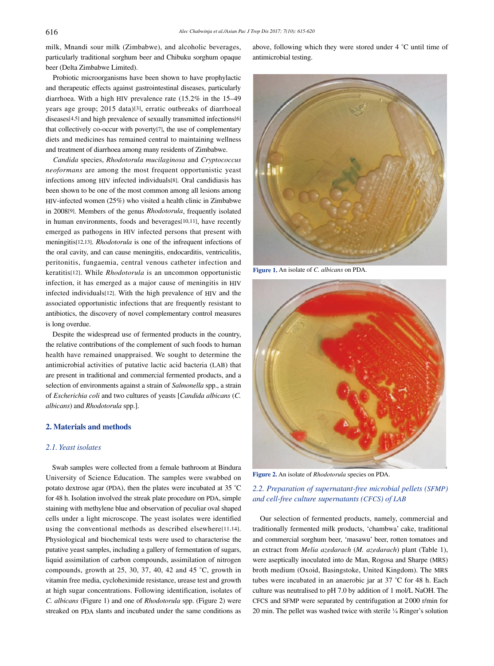milk, Mnandi sour milk (Zimbabwe), and alcoholic beverages, particularly traditional sorghum beer and Chibuku sorghum opaque beer (Delta Zimbabwe Limited).

 Probiotic microorganisms have been shown to have prophylactic and therapeutic effects against gastrointestinal diseases, particularly diarrhoea. With a high HIV prevalence rate (15.2% in the 15–49 years age group; 2015 data)[3], erratic outbreaks of diarrhoeal diseases[4,5] and high prevalence of sexually transmitted infections[6] that collectively co-occur with poverty[7], the use of complementary diets and medicines has remained central to maintaining wellness and treatment of diarrhoea among many residents of Zimbabwe.

 *Candida* species, *Rhodotorula mucilaginosa* and *Cryptococcus neoformans* are among the most frequent opportunistic yeast infections among HIV infected individuals[8]. Oral candidiasis has been shown to be one of the most common among all lesions among HIV-infected women (25%) who visited a health clinic in Zimbabwe in 2008[9]. Members of the genus *Rhodotorula*, frequently isolated in human environments, foods and beverages[10,11], have recently emerged as pathogens in HIV infected persons that present with meningitis[12,13]. *Rhodotorula* is one of the infrequent infections of the oral cavity, and can cause meningitis, endocarditis, ventriculitis, peritonitis, fungaemia, central venous catheter infection and keratitis[12]. While *Rhodotorula* is an uncommon opportunistic infection, it has emerged as a major cause of meningitis in HIV infected individuals[12]. With the high prevalence of HIV and the associated opportunistic infections that are frequently resistant to antibiotics, the discovery of novel complementary control measures is long overdue.

 Despite the widespread use of fermented products in the country, the relative contributions of the complement of such foods to human health have remained unappraised. We sought to determine the antimicrobial activities of putative lactic acid bacteria (LAB) that are present in traditional and commercial fermented products, and a selection of environments against a strain of *Salmonella* spp., a strain of *Escherichia coli* and two cultures of yeasts [*Candida albicans* (*C. albicans*) and *Rhodotorula* spp.].

#### **2. Materials and methods**

#### *2.1. Yeast isolates*

 Swab samples were collected from a female bathroom at Bindura University of Science Education. The samples were swabbed on potato dextrose agar (PDA), then the plates were incubated at 35 °C for 48 h. Isolation involved the streak plate procedure on PDA, simple staining with methylene blue and observation of peculiar oval shaped cells under a light microscope. The yeast isolates were identified using the conventional methods as described elsewhere[11,14]. Physiological and biochemical tests were used to characterise the putative yeast samples, including a gallery of fermentation of sugars, liquid assimilation of carbon compounds, assimilation of nitrogen compounds, growth at 25, 30, 37, 40, 42 and 45 °C, growth in vitamin free media, cycloheximide resistance, urease test and growth at high sugar concentrations. Following identification, isolates of *C. albicans* (Figure 1) and one of *Rhodotorula* spp. (Figure 2) were streaked on PDA slants and incubated under the same conditions as

above, following which they were stored under 4 °C until time of antimicrobial testing.



**Figure 1.** An isolate of *C. albicans* on PDA.



**Figure 2.** An isolate of *Rhodotorula* species on PDA.

## *2.2. Preparation of supernatant-free microbial pellets (SFMP) and cell-free culture supernatants (CFCS) of LAB*

 Our selection of fermented products, namely, commercial and traditionally fermented milk products, 'chambwa' cake, traditional and commercial sorghum beer, 'masawu' beer, rotten tomatoes and an extract from *Melia azedarach* (*M. azedarach*) plant (Table 1), were aseptically inoculated into de Man, Rogosa and Sharpe (MRS) broth medium (Oxoid, Basingstoke, United Kingdom). The MRS tubes were incubated in an anaerobic jar at 37 °C for 48 h. Each culture was neutralised to pH 7.0 by addition of 1 mol/L NaOH. The CFCS and SFMP were separated by centrifugation at 2000 r/min for 20 min. The pellet was washed twice with sterile ¼ Ringer's solution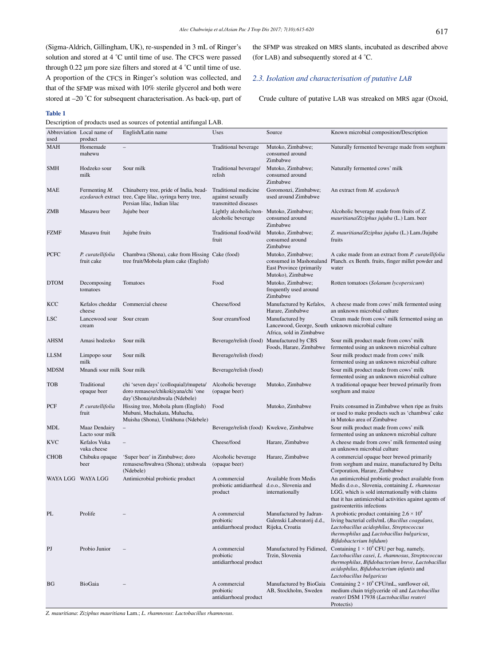(Sigma-Aldrich, Gillingham, UK), re-suspended in 3 mL of Ringer's solution and stored at 4 °C until time of use. The CFCS were passed through 0.22 µm pore size filters and stored at 4 °C until time of use. A proportion of the CFCS in Ringer's solution was collected, and that of the SFMP was mixed with 10% sterile glycerol and both were stored at –20 °C for subsequent characterisation. As back-up, part of the SFMP was streaked on MRS slants, incubated as described above (for LAB) and subsequently stored at 4 °C.

# *2.3. Isolation and characterisation of putative LAB*

Crude culture of putative LAB was streaked on MRS agar (Oxoid,

#### **Table 1**

Description of products used as sources of potential antifungal LAB.

|                  | Abbreviation Local name of         | English/Latin name                                                                                                               | Uses                                                                    | Source                                                                                        | Known microbial composition/Description                                                                                                                                                                                                        |
|------------------|------------------------------------|----------------------------------------------------------------------------------------------------------------------------------|-------------------------------------------------------------------------|-----------------------------------------------------------------------------------------------|------------------------------------------------------------------------------------------------------------------------------------------------------------------------------------------------------------------------------------------------|
| used             | product                            |                                                                                                                                  |                                                                         |                                                                                               |                                                                                                                                                                                                                                                |
| <b>MAH</b>       | Homemade<br>mahewu                 |                                                                                                                                  | Traditional beverage                                                    | Mutoko, Zimbabwe;<br>consumed around<br>Zimbabwe                                              | Naturally fermented beverage made from sorghum                                                                                                                                                                                                 |
| SMH              | Hodzeko sour<br>milk               | Sour milk                                                                                                                        | Traditional beverage/<br>relish                                         | Mutoko, Zimbabwe;<br>consumed around<br>Zimbabwe                                              | Naturally fermented cows' milk                                                                                                                                                                                                                 |
| MAE              | Fermenting M.                      | Chinaberry tree, pride of India, bead-<br>azedarach extract tree, Cape lilac, syringa berry tree,<br>Persian lilac, Indian lilac | Traditional medicine<br>against sexually<br>transmitted diseases        | Goromonzi, Zimbabwe;<br>used around Zimbabwe                                                  | An extract from <i>M. azedarach</i>                                                                                                                                                                                                            |
| ZMB              | Masawu beer                        | Jujube beer                                                                                                                      | Lightly alcoholic/non- Mutoko, Zimbabwe;<br>alcoholic beverage          | consumed around<br>Zimbabwe                                                                   | Alcoholic beverage made from fruits of Z.<br>mauritiana/Ziziphus jujuba (L.) Lam. beer                                                                                                                                                         |
| FZMF             | Masawu fruit                       | Jujube fruits                                                                                                                    | Traditional food/wild<br>fruit                                          | Mutoko, Zimbabwe;<br>consumed around<br>Zimbabwe                                              | Z. mauritiana/Ziziphus jujuba (L.) Lam./Jujube<br>fruits                                                                                                                                                                                       |
| PCFC             | P. curatellifolia<br>fruit cake    | Chambwa (Shona), cake from Hissing Cake (food)<br>tree fruit/Mobola plum cake (English)                                          |                                                                         | Mutoko, Zimbabwe;<br>consumed in Mashonaland<br>East Province (primarily<br>Mutoko), Zimbabwe | A cake made from an extract from <i>P. curatellifolia</i><br>Planch. ex Benth. fruits, finger millet powder and<br>water                                                                                                                       |
| <b>DTOM</b>      | Decomposing<br>tomatoes            | Tomatoes                                                                                                                         | Food                                                                    | Mutoko, Zimbabwe;<br>frequently used around<br>Zimbabwe                                       | Rotten tomatoes (Solanum lycopersicum)                                                                                                                                                                                                         |
| KCC              | Kefalos cheddar<br>cheese          | Commercial cheese                                                                                                                | Cheese/food                                                             | Manufactured by Kefalos,<br>Harare, Zimbabwe                                                  | A cheese made from cows' milk fermented using<br>an unknown microbial culture                                                                                                                                                                  |
| LSC <sub>.</sub> | Lancewood sour Sour cream<br>cream |                                                                                                                                  | Sour cream/food                                                         | Manufactured by<br>Africa, sold in Zimbabwe                                                   | Cream made from cows' milk fermented using an<br>Lancewood, George, South unknown microbial culture                                                                                                                                            |
| <b>AHSM</b>      | Amasi hodzeko                      | Sour milk                                                                                                                        |                                                                         | Beverage/relish (food) Manufactured by CBS<br>Foods, Harare, Zimbabwe                         | Sour milk product made from cows' milk<br>fermented using an unknown microbial culture                                                                                                                                                         |
| <b>LLSM</b>      | Limpopo sour<br>milk               | Sour milk                                                                                                                        | Beverage/relish (food)                                                  |                                                                                               | Sour milk product made from cows' milk<br>fermented using an unknown microbial culture                                                                                                                                                         |
| <b>MDSM</b>      | Mnandi sour milk Sour milk         |                                                                                                                                  | Beverage/relish (food)                                                  |                                                                                               | Sour milk product made from cows' milk<br>fermented using an unknown microbial culture                                                                                                                                                         |
| <b>TOB</b>       | Traditional<br>opaque beer         | chi 'seven days' (colloquial)/mupeta/<br>doro remasese/chikokiyana/chi 'one<br>day'(Shona)/utshwala (Ndebele)                    | Alcoholic beverage<br>(opaque beer)                                     | Mutoko, Zimbabwe                                                                              | A traditional opaque beer brewed primarily from<br>sorghum and maize                                                                                                                                                                           |
| PCF              | P. curatellifolia<br>fruit         | Hissing tree, Mobola plum (English)<br>Mubuni, Muchakata, Muhacha,<br>Muisha (Shona), Umkhuna (Ndebele)                          | Food                                                                    | Mutoko, Zimbabwe                                                                              | Fruits consumed in Zimbabwe when ripe as fruits<br>or used to make products such as 'chambwa' cake<br>in Mutoko area of Zimbabwe                                                                                                               |
| <b>MDL</b>       | Maaz Dendairy<br>Lacto sour milk   |                                                                                                                                  | Beverage/relish (food) Kwekwe, Zimbabwe                                 |                                                                                               | Sour milk product made from cows' milk<br>fermented using an unknown microbial culture                                                                                                                                                         |
| <b>KVC</b>       | Kefalos Vuka<br>vuka cheese        |                                                                                                                                  | Cheese/food                                                             | Harare, Zimbabwe                                                                              | A cheese made from cows' milk fermented using<br>an unknown microbial culture                                                                                                                                                                  |
| <b>CHOB</b>      | Chibuku opaque<br>beer             | 'Super beer' in Zimbabwe; doro<br>remasese/hwahwa (Shona); utshwala<br>(Ndebele)                                                 | Alcoholic beverage<br>(opaque beer)                                     | Harare, Zimbabwe                                                                              | A commercial opaque beer brewed primarily<br>from sorghum and maize, manufactured by Delta<br>Corporation, Harare, Zimbabwe                                                                                                                    |
|                  | WAYA LGG WAYA LGG                  | Antimicrobial probiotic product                                                                                                  | A commercial<br>probiotic antidiarrheal d.o.o., Slovenia and<br>proquet | Available from Medis<br>internationally                                                       | An antimicrobial probiotic product available from<br>Medis d.o.o., Slovenia, containing L. rhamnosus<br>LGG, which is sold internationally with claims<br>that it has antimicrobial activities against agents of<br>gastroenteritis infections |
| PL               | Prolife                            |                                                                                                                                  | A commercial<br>probiotic<br>antidiarrhoeal product Rijeka, Croatia     | Manufactured by Jadran-<br>Galenski Laboratorij d.d.,                                         | A probiotic product containing $2.6 \times 10^8$<br>living bacterial cells/mL (Bacillus coagulans,<br>Lactobacillus acidophilus, Streptococcus<br>thermophilus and Lactobacillus bulgaricus,<br>Bifidobacterium bifidum)                       |
| P <sub>J</sub>   | Probio Junior                      |                                                                                                                                  | A commercial<br>probiotic<br>antidiarrhoeal product                     | Manufactured by Fidimed,<br>Trzin, Slovenia                                                   | Containing $1 \times 10^9$ CFU per bag, namely,<br>Lactobacillus casei, L. rhamnosus, Streptococcus<br>thermophilus, Bifidobacterium breve, Lactobacillus<br>acidophilus, Bifidobacterium infantis and<br>Lactobacillus bulgaricus             |
| BG               | BioGaia                            |                                                                                                                                  | A commercial<br>probiotic<br>antidiarrhoeal product                     | Manufactured by BioGaia<br>AB, Stockholm, Sweden                                              | Containing $2 \times 10^9$ CFU/mL, sunflower oil,<br>medium chain triglyceride oil and Lactobacillus<br>reuteri DSM 17938 (Lactobacillus reuteri<br>Protectis)                                                                                 |

*Z. mauritiana*: *Ziziphus mauritiana* Lam.; *L. rhamnosus*: *Lactobacillus rhamnosus*.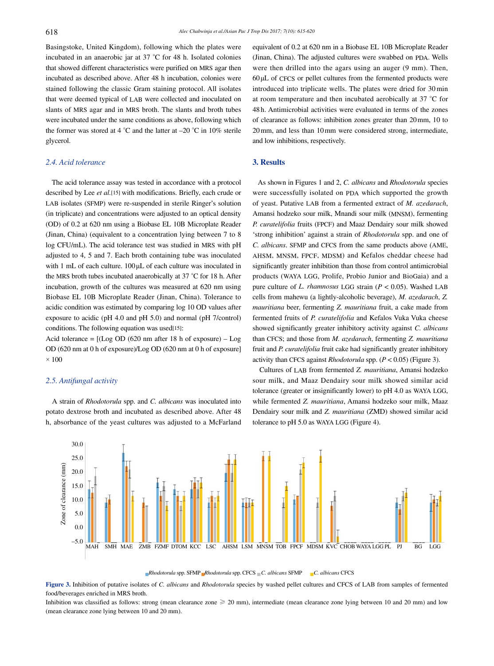Basingstoke, United Kingdom), following which the plates were incubated in an anaerobic jar at 37 °C for 48 h. Isolated colonies that showed different characteristics were purified on MRS agar then incubated as described above. After 48 h incubation, colonies were stained following the classic Gram staining protocol. All isolates that were deemed typical of LAB were collected and inoculated on slants of MRS agar and in MRS broth. The slants and broth tubes were incubated under the same conditions as above, following which the former was stored at 4  $^{\circ}$ C and the latter at  $-20$   $^{\circ}$ C in 10% sterile glycerol.

#### *2.4. Acid tolerance*

 The acid tolerance assay was tested in accordance with a protocol described by Lee *et al.*[15] with modifications. Briefly, each crude or LAB isolates (SFMP) were re-suspended in sterile Ringer's solution (in triplicate) and concentrations were adjusted to an optical density (OD) of 0.2 at 620 nm using a Biobase EL 10B Microplate Reader (Jinan, China) (equivalent to a concentration lying between 7 to 8 log CFU/mL). The acid tolerance test was studied in MRS with pH adjusted to 4, 5 and 7. Each broth containing tube was inoculated with 1 mL of each culture. 100μL of each culture was inoculated in the MRS broth tubes incubated anaerobically at 37 °C for 18 h. After incubation, growth of the cultures was measured at 620 nm using Biobase EL 10B Microplate Reader (Jinan, China). Tolerance to acidic condition was estimated by comparing log 10 OD values after exposure to acidic (pH 4.0 and pH 5.0) and normal (pH 7/control) conditions. The following equation was used[15]:

Acid tolerance =  $[(Log OD (620 nm after 18 h of exposure) - Log$ OD (620 nm at 0 h of exposure)/Log OD (620 nm at 0 h of exposure]  $\times$  100

#### *2.5. Antifungal activity*

 A strain of *Rhodotorula* spp. and *C. albicans* was inoculated into potato dextrose broth and incubated as described above. After 48 h, absorbance of the yeast cultures was adjusted to a McFarland equivalent of 0.2 at 620 nm in a Biobase EL 10B Microplate Reader (Jinan, China). The adjusted cultures were swabbed on PDA. Wells were then drilled into the agars using an auger (9 mm). Then, 60μL of CFCS or pellet cultures from the fermented products were introduced into triplicate wells. The plates were dried for 30min at room temperature and then incubated aerobically at 37 °C for 48h. Antimicrobial activities were evaluated in terms of the zones of clearance as follows: inhibition zones greater than 20mm, 10 to 20mm, and less than 10mm were considered strong, intermediate, and low inhibitions, respectively.

#### **3. Results**

 As shown in Figures 1 and 2, *C. albicans* and *Rhodotorula* species were successfully isolated on PDA which supported the growth of yeast. Putative LAB from a fermented extract of *M. azedarach*, Amansi hodzeko sour milk, Mnandi sour milk (MNSM), fermenting *P. curatelifolia* fruits (FPCF) and Maaz Dendairy sour milk showed 'strong inhibition' against a strain of *Rhodotorula* spp. and one of *C. albicans*. SFMP and CFCS from the same products above (AME, AHSM, MNSM, FPCF, MDSM) and Kefalos cheddar cheese had significantly greater inhibition than those from control antimicrobial products (WAYA LGG, Prolife, Probio Junior and BioGaia) and a pure culture of *L. rhamnosus* LGG strain (*P* < 0.05). Washed LAB cells from mahewu (a lightly-alcoholic beverage), *M. azedarach*, *Z. mauritiana* beer, fermenting *Z. mauritiana* fruit, a cake made from fermented fruits of *P. curatelifolia* and Kefalos Vuka Vuka cheese showed significantly greater inhibitory activity against *C. albicans* than CFCS; and those from *M. azedarach*, fermenting *Z. mauritiana* fruit and *P. curatelifolia* fruit cake had significantly greater inhibitory activity than CFCS against *Rhodotorula* spp. (*P* < 0.05) (Figure 3).

 Cultures of LAB from fermented *Z. mauritiana*, Amansi hodzeko sour milk, and Maaz Dendairy sour milk showed similar acid tolerance (greater or insignificantly lower) to pH 4.0 as WAYA LGG, while fermented *Z. mauritiana*, Amansi hodzeko sour milk, Maaz Dendairy sour milk and *Z. mauritiana* (ZMD) showed similar acid tolerance to pH 5.0 as WAYA LGG (Figure 4).



*Rhodotorula* spp. SFMP *Rhodotorula* spp. CFCS *C. albicans* SFMP *C. albicans* CFCS

**Figure 3.** Inhibition of putative isolates of *C. albicans* and *Rhodotorula* species by washed pellet cultures and CFCS of LAB from samples of fermented food/beverages enriched in MRS broth.

Inhibition was classified as follows: strong (mean clearance zone  $\geq 20$  mm), intermediate (mean clearance zone lying between 10 and 20 mm) and low (mean clearance zone lying between 10 and 20 mm).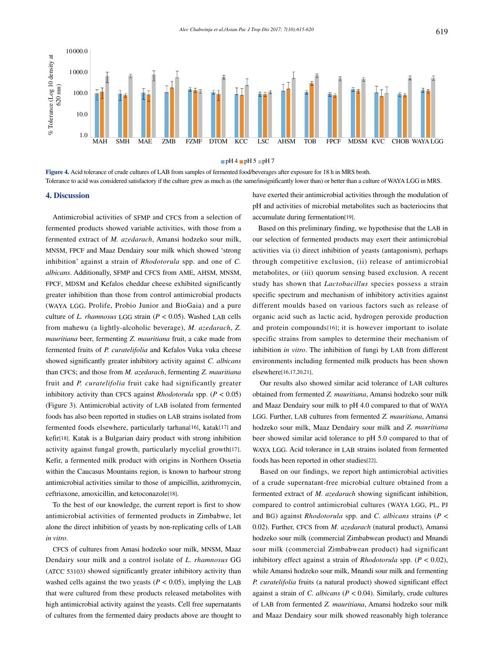

 $pH 4$  pH 5 pH 7

**Figure 4.** Acid tolerance of crude cultures of LAB from samples of fermented food/beverages after exposure for 18 h in MRS broth. Tolerance to acid was considered satisfactory if the culture grew as much as (the same/insignificantly lower than) or better than a culture of WAYA LGG in MRS.

#### **4. Discussion**

 Antimicrobial activities of SFMP and CFCS from a selection of fermented products showed variable activities, with those from a fermented extract of *M. azedarach*, Amansi hodzeko sour milk, MNSM, FPCF and Maaz Dendairy sour milk which showed 'strong inhibition' against a strain of *Rhodotorula* spp. and one of *C. albicans*. Additionally, SFMP and CFCS from AME, AHSM, MNSM, FPCF, MDSM and Kefalos cheddar cheese exhibited significantly greater inhibition than those from control antimicrobial products (WAYA LGG, Prolife, Probio Junior and BioGaia) and a pure culture of *L. rhamnosus* LGG strain (*P* < 0.05). Washed LAB cells from mahewu (a lightly-alcoholic beverage), *M. azedarach*, *Z. mauritiana* beer, fermenting *Z. mauritiana* fruit, a cake made from fermented fruits of *P. curatelifolia* and Kefalos Vuka vuka cheese showed significantly greater inhibitory activity against *C. albicans* than CFCS; and those from *M. azedarach*, fermenting *Z. mauritiana* fruit and *P. curatelifolia* fruit cake had significantly greater inhibitory activity than CFCS against *Rhodotorula* spp. (*P* < 0.05) (Figure 3). Antimicrobial activity of LAB isolated from fermented foods has also been reported in studies on LAB strains isolated from fermented foods elsewhere, particularly tarhana[16], katak[17] and kefir[18]. Katak is a Bulgarian dairy product with strong inhibition activity against fungal growth, particularly mycelial growth[17]. Kefir, a fermented milk product with origins in Northern Ossetia within the Caucasus Mountains region, is known to harbour strong antimicrobial activities similar to those of ampicillin, azithromycin, ceftriaxone, amoxicillin, and ketoconazole[18].

 To the best of our knowledge, the current report is first to show antimicrobial activities of fermented products in Zimbabwe, let alone the direct inhibition of yeasts by non-replicating cells of LAB *in vitro*.

 CFCS of cultures from Amasi hodzeko sour milk, MNSM, Maaz Dendairy sour milk and a control isolate of *L. rhamnosus* GG (ATCC 53103) showed significantly greater inhibitory activity than washed cells against the two yeasts ( $P < 0.05$ ), implying the LAB that were cultured from these products released metabolites with high antimicrobial activity against the yeasts. Cell free supernatants of cultures from the fermented dairy products above are thought to have exerted their antimicrobial activities through the modulation of pH and activities of microbial metabolites such as bacteriocins that accumulate during fermentation[19].

 Based on this preliminary finding, we hypothesise that the LAB in our selection of fermented products may exert their antimicrobial activities via (i) direct inhibition of yeasts (antagonism), perhaps through competitive exclusion, (ii) release of antimicrobial metabolites, or (iii) quorum sensing based exclusion. A recent study has shown that *Lactobacillus* species possess a strain specific spectrum and mechanism of inhibitory activities against different moulds based on various factors such as release of organic acid such as lactic acid, hydrogen peroxide production and protein compounds[16]; it is however important to isolate specific strains from samples to determine their mechanism of inhibition *in vitro*. The inhibition of fungi by LAB from different environments including fermented milk products has been shown elsewhere[16,17,20,21].

 Our results also showed similar acid tolerance of LAB cultures obtained from fermented *Z. mauritiana*, Amansi hodzeko sour milk and Maaz Dendairy sour milk to pH 4.0 compared to that of WAYA LGG. Further, LAB cultures from fermented *Z. mauritiana*, Amansi hodzeko sour milk, Maaz Dendairy sour milk and *Z. mauritiana* beer showed similar acid tolerance to pH 5.0 compared to that of WAYA LGG. Acid tolerance in LAB strains isolated from fermented foods has been reported in other studies[22].

 Based on our findings, we report high antimicrobial activities of a crude supernatant-free microbial culture obtained from a fermented extract of *M. azedarach* showing significant inhibition, compared to control antimicrobial cultures (WAYA LGG, PL, PJ and BG) against *Rhodotorula* spp. and *C. albicans* strains (*P* < 0.02). Further, CFCS from *M. azedarach* (natural product), Amansi hodzeko sour milk (commercial Zimbabwean product) and Mnandi sour milk (commercial Zimbabwean product) had significant inhibitory effect against a strain of *Rhodotorula* spp. (*P* < 0.02), while Amansi hodzeko sour milk, Mnandi sour milk and fermenting *P. curatelifolia* fruits (a natural product) showed significant effect against a strain of *C. albicans* (*P* < 0.04). Similarly, crude cultures of LAB from fermented *Z. mauritiana*, Amansi hodzeko sour milk and Maaz Dendairy sour milk showed reasonably high tolerance